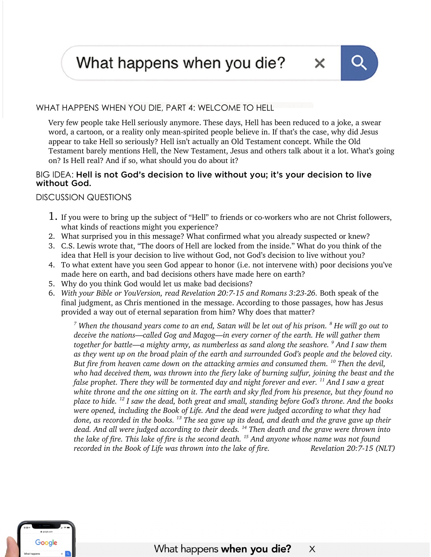What happens when you die?



×

## WHAT HAPPENS WHEN YOU DIE, PART 4: WELCOME TO HELL

Very few people take Hell seriously anymore. These days, Hell has been reduced to a joke, a swear word, a cartoon, or a reality only mean-spirited people believe in. If that's the case, why did Jesus appear to take Hell so seriously? Hell isn't actually an Old Testament concept. While the Old Testament barely mentions Hell, the New Testament, Jesus and others talk about it a lot. What's going on? Is Hell real? And if so, what should you do about it?

## BIG IDEA: Hell is not God's decision to live without you; it's your decision to live without God.

DISCUSSION QUESTIONS

- 1. If you were to bring up the subject of "Hell" to friends or co-workers who are not Christ followers, what kinds of reactions might you experience?
- 2. What surprised you in this message? What confirmed what you already suspected or knew?
- 3. C.S. Lewis wrote that, "The doors of Hell are locked from the inside." What do you think of the idea that Hell is your decision to live without God, not God's decision to live without you?
- 4. To what extent have you seen God appear to honor (i.e. not intervene with) poor decisions you've made here on earth, and bad decisions others have made here on earth?
- 5. Why do you think God would let us make bad decisions?
- 6. *With your Bible or YouVersion, read Revelation 20:7-15 and Romans 3:23-26.* Both speak of the final judgment, as Chris mentioned in the message. According to those passages, how has Jesus provided a way out of eternal separation from him? Why does that matter?

*<sup>7</sup> When the thousand years come to an end, Satan will be let out of his prison. <sup>8</sup> He will go out to deceive the nations—called Gog and Magog—in every corner of the earth. He will gather them together for battle—a mighty army, as numberless as sand along the seashore. <sup>9</sup> And I saw them as they went up on the broad plain of the earth and surrounded God's people and the beloved city. But fire from heaven came down on the attacking armies and consumed them. <sup>10</sup> Then the devil, who had deceived them, was thrown into the fiery lake of burning sulfur, joining the beast and the false prophet. There they will be tormented day and night forever and ever. <sup>11</sup> And I saw a great white throne and the one sitting on it. The earth and sky fled from his presence, but they found no place to hide. <sup>12</sup> I saw the dead, both great and small, standing before God's throne. And the books were opened, including the Book of Life. And the dead were judged according to what they had done, as recorded in the books. <sup>13</sup> The sea gave up its dead, and death and the grave gave up their dead. And all were judged according to their deeds. <sup>14</sup> Then death and the grave were thrown into the lake of fire. This lake of fire is the second death. <sup>15</sup> And anyone whose name was not found recorded in the Book of Life was thrown into the lake of fire.* Revelation 20:7-15 *(NLT)*